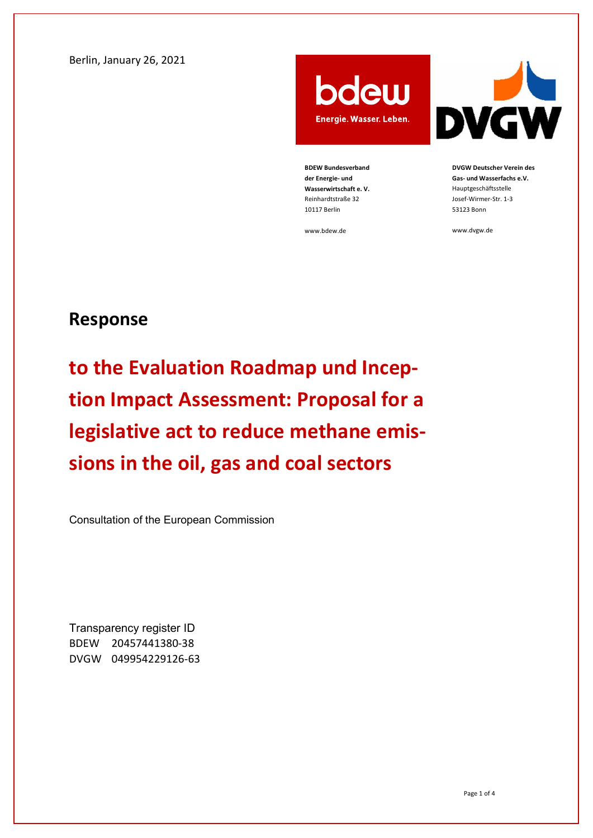Berlin, January 26, 2021

bdew Energie. Wasser. Leben.

BDEW Bundesverband der Energie- und Wasserwirtschaft e. V. Reinhardtstraße 32 10117 Berlin

www.bdew.de



DVGW Deutscher Verein des Gas- und Wasserfachs e.V. Hauptgeschäftsstelle Josef-Wirmer-Str. 1-3 53123 Bonn

www.dvgw.de

## Response

to the Evaluation Roadmap und Inception Impact Assessment: Proposal for a legislative act to reduce methane emissions in the oil, gas and coal sectors

Consultation of the European Commission

Transparency register ID BDEW 20457441380-38 DVGW 049954229126-63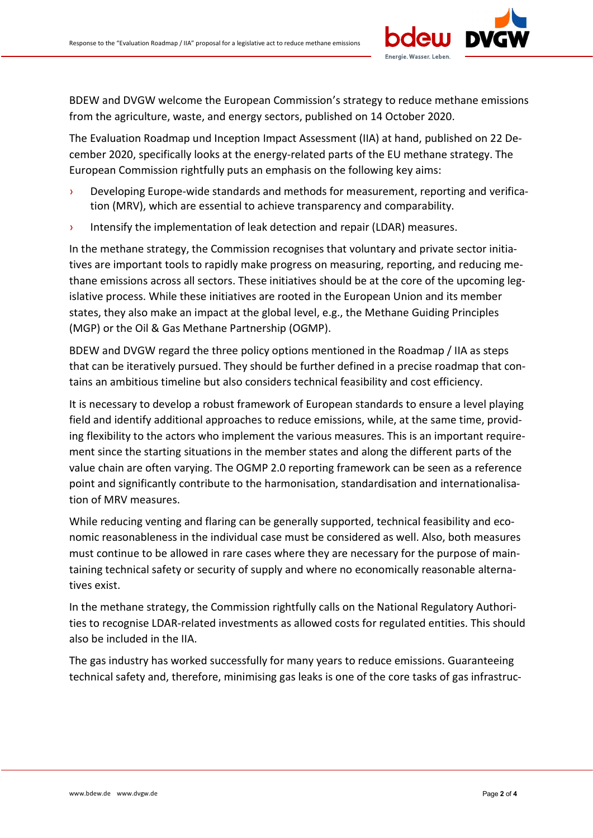

BDEW and DVGW welcome the European Commission's strategy to reduce methane emissions from the agriculture, waste, and energy sectors, published on 14 October 2020.

The Evaluation Roadmap und Inception Impact Assessment (IIA) at hand, published on 22 December 2020, specifically looks at the energy-related parts of the EU methane strategy. The European Commission rightfully puts an emphasis on the following key aims:

- › Developing Europe-wide standards and methods for measurement, reporting and verification (MRV), which are essential to achieve transparency and comparability.
- › Intensify the implementation of leak detection and repair (LDAR) measures.

In the methane strategy, the Commission recognises that voluntary and private sector initiatives are important tools to rapidly make progress on measuring, reporting, and reducing methane emissions across all sectors. These initiatives should be at the core of the upcoming legislative process. While these initiatives are rooted in the European Union and its member states, they also make an impact at the global level, e.g., the Methane Guiding Principles (MGP) or the Oil & Gas Methane Partnership (OGMP).

BDEW and DVGW regard the three policy options mentioned in the Roadmap / IIA as steps that can be iteratively pursued. They should be further defined in a precise roadmap that contains an ambitious timeline but also considers technical feasibility and cost efficiency.

It is necessary to develop a robust framework of European standards to ensure a level playing field and identify additional approaches to reduce emissions, while, at the same time, providing flexibility to the actors who implement the various measures. This is an important requirement since the starting situations in the member states and along the different parts of the value chain are often varying. The OGMP 2.0 reporting framework can be seen as a reference point and significantly contribute to the harmonisation, standardisation and internationalisation of MRV measures.

While reducing venting and flaring can be generally supported, technical feasibility and economic reasonableness in the individual case must be considered as well. Also, both measures must continue to be allowed in rare cases where they are necessary for the purpose of maintaining technical safety or security of supply and where no economically reasonable alternatives exist.

In the methane strategy, the Commission rightfully calls on the National Regulatory Authorities to recognise LDAR-related investments as allowed costs for regulated entities. This should also be included in the IIA.

The gas industry has worked successfully for many years to reduce emissions. Guaranteeing technical safety and, therefore, minimising gas leaks is one of the core tasks of gas infrastruc-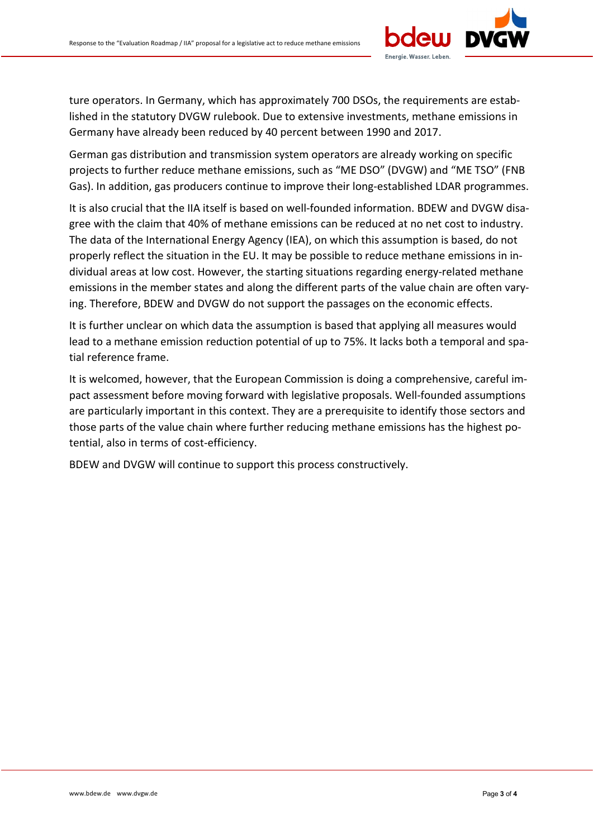

ture operators. In Germany, which has approximately 700 DSOs, the requirements are established in the statutory DVGW rulebook. Due to extensive investments, methane emissions in Germany have already been reduced by 40 percent between 1990 and 2017.

German gas distribution and transmission system operators are already working on specific projects to further reduce methane emissions, such as "ME DSO" (DVGW) and "ME TSO" (FNB Gas). In addition, gas producers continue to improve their long-established LDAR programmes.

It is also crucial that the IIA itself is based on well-founded information. BDEW and DVGW disagree with the claim that 40% of methane emissions can be reduced at no net cost to industry. The data of the International Energy Agency (IEA), on which this assumption is based, do not properly reflect the situation in the EU. It may be possible to reduce methane emissions in individual areas at low cost. However, the starting situations regarding energy-related methane emissions in the member states and along the different parts of the value chain are often varying. Therefore, BDEW and DVGW do not support the passages on the economic effects.

It is further unclear on which data the assumption is based that applying all measures would lead to a methane emission reduction potential of up to 75%. It lacks both a temporal and spatial reference frame.

It is welcomed, however, that the European Commission is doing a comprehensive, careful impact assessment before moving forward with legislative proposals. Well-founded assumptions are particularly important in this context. They are a prerequisite to identify those sectors and those parts of the value chain where further reducing methane emissions has the highest potential, also in terms of cost-efficiency.

BDEW and DVGW will continue to support this process constructively.